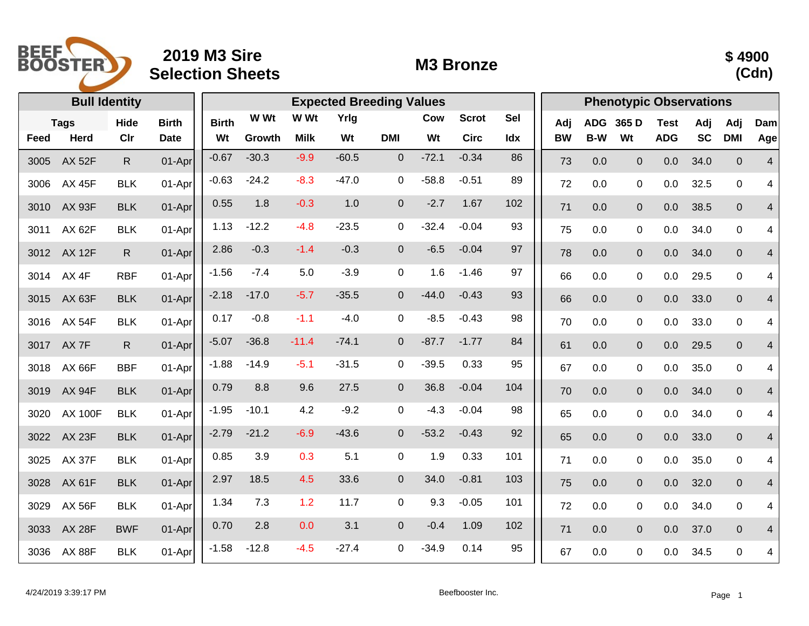

## **2019 M3 Sire Selection Sheets M3 Bronze**



|      |                  | <b>Bull Identity</b> |              |              |         | <b>Expected Breeding Values</b> | <b>Phenotypic Observations</b> |                  |         |              |     |           |            |                |             |           |              |                |
|------|------------------|----------------------|--------------|--------------|---------|---------------------------------|--------------------------------|------------------|---------|--------------|-----|-----------|------------|----------------|-------------|-----------|--------------|----------------|
|      | <b>Tags</b>      | Hide                 | <b>Birth</b> | <b>Birth</b> | W Wt    | W Wt                            | Yrlg                           |                  | Cow     | <b>Scrot</b> | Sel | Adj       | <b>ADG</b> | 365 D          | <b>Test</b> | Adj       | Adj          | Dam            |
| Feed | Herd             | Clr                  | <b>Date</b>  | Wt           | Growth  | <b>Milk</b>                     | Wt                             | <b>DMI</b>       | Wt      | <b>Circ</b>  | Idx | <b>BW</b> | B-W        | Wt             | <b>ADG</b>  | <b>SC</b> | <b>DMI</b>   | Age            |
| 3005 | <b>AX 52F</b>    | R.                   | 01-Apr       | $-0.67$      | $-30.3$ | $-9.9$                          | $-60.5$                        | $\Omega$         | $-72.1$ | $-0.34$      | 86  | 73        | 0.0        | $\overline{0}$ | 0.0         | 34.0      | $\mathbf 0$  | $\overline{4}$ |
| 3006 | <b>AX 45F</b>    | <b>BLK</b>           | 01-Apr       | $-0.63$      | $-24.2$ | $-8.3$                          | $-47.0$                        | $\mathbf 0$      | $-58.8$ | $-0.51$      | 89  | 72        | 0.0        | 0              | 0.0         | 32.5      | $\mathbf 0$  | 4              |
| 3010 | <b>AX 93F</b>    | <b>BLK</b>           | 01-Apr       | 0.55         | 1.8     | $-0.3$                          | 1.0                            | $\boldsymbol{0}$ | $-2.7$  | 1.67         | 102 | 71        | 0.0        | $\overline{0}$ | 0.0         | 38.5      | $\mathbf{0}$ | 4              |
| 3011 | <b>AX 62F</b>    | <b>BLK</b>           | 01-Apr       | 1.13         | $-12.2$ | $-4.8$                          | $-23.5$                        | $\mathbf 0$      | $-32.4$ | $-0.04$      | 93  | 75        | 0.0        | $\mathbf 0$    | 0.0         | 34.0      | $\pmb{0}$    | 4              |
| 3012 | <b>AX 12F</b>    | R.                   | 01-Apr       | 2.86         | $-0.3$  | $-1.4$                          | $-0.3$                         | $\overline{0}$   | $-6.5$  | $-0.04$      | 97  | 78        | 0.0        | $\overline{0}$ | 0.0         | 34.0      | $\pmb{0}$    | 4              |
| 3014 | AX <sub>4F</sub> | <b>RBF</b>           | 01-Apr       | $-1.56$      | $-7.4$  | 5.0                             | $-3.9$                         | $\mathbf 0$      | 1.6     | $-1.46$      | 97  | 66        | 0.0        | $\mathbf 0$    | 0.0         | 29.5      | $\mathbf 0$  | 4              |
| 3015 | <b>AX 63F</b>    | <b>BLK</b>           | 01-Apr       | $-2.18$      | $-17.0$ | $-5.7$                          | $-35.5$                        | $\mathbf 0$      | $-44.0$ | $-0.43$      | 93  | 66        | 0.0        | $\mathbf 0$    | 0.0         | 33.0      | $\mathbf{0}$ | $\overline{4}$ |
| 3016 | <b>AX 54F</b>    | <b>BLK</b>           | 01-Apr       | 0.17         | $-0.8$  | $-1.1$                          | $-4.0$                         | $\mathbf 0$      | $-8.5$  | $-0.43$      | 98  | 70        | 0.0        | 0              | 0.0         | 33.0      | $\pmb{0}$    | 4              |
| 3017 | AX 7F            | $\mathsf{R}$         | 01-Apr       | $-5.07$      | $-36.8$ | $-11.4$                         | $-74.1$                        | $\boldsymbol{0}$ | $-87.7$ | $-1.77$      | 84  | 61        | 0.0        | $\overline{0}$ | 0.0         | 29.5      | $\mathbf 0$  | 4              |
| 3018 | <b>AX 66F</b>    | <b>BBF</b>           | 01-Apr       | $-1.88$      | $-14.9$ | $-5.1$                          | $-31.5$                        | 0                | $-39.5$ | 0.33         | 95  | 67        | 0.0        | 0              | 0.0         | 35.0      | $\mathbf 0$  | 4              |
| 3019 | <b>AX 94F</b>    | <b>BLK</b>           | 01-Apr       | 0.79         | 8.8     | 9.6                             | 27.5                           | $\Omega$         | 36.8    | $-0.04$      | 104 | 70        | 0.0        | $\overline{0}$ | 0.0         | 34.0      | $\mathbf{0}$ | 4              |
| 3020 | <b>AX 100F</b>   | <b>BLK</b>           | 01-Apr       | $-1.95$      | $-10.1$ | 4.2                             | $-9.2$                         | $\mathbf 0$      | $-4.3$  | $-0.04$      | 98  | 65        | 0.0        | 0              | 0.0         | 34.0      | $\mathbf 0$  | 4              |
| 3022 | <b>AX 23F</b>    | <b>BLK</b>           | 01-Apr       | $-2.79$      | $-21.2$ | $-6.9$                          | $-43.6$                        | $\mathbf 0$      | $-53.2$ | $-0.43$      | 92  | 65        | 0.0        | $\overline{0}$ | 0.0         | 33.0      | $\pmb{0}$    | $\overline{4}$ |
| 3025 | <b>AX 37F</b>    | <b>BLK</b>           | 01-Apr       | 0.85         | 3.9     | 0.3                             | 5.1                            | $\mathbf 0$      | 1.9     | 0.33         | 101 | 71        | 0.0        | $\mathbf 0$    | 0.0         | 35.0      | $\mathbf 0$  | 4              |
| 3028 | <b>AX 61F</b>    | <b>BLK</b>           | 01-Apr       | 2.97         | 18.5    | 4.5                             | 33.6                           | $\Omega$         | 34.0    | $-0.81$      | 103 | 75        | 0.0        | $\overline{0}$ | 0.0         | 32.0      | $\mathbf{0}$ | $\overline{4}$ |
| 3029 | <b>AX 56F</b>    | <b>BLK</b>           | 01-Apr       | 1.34         | 7.3     | 1.2                             | 11.7                           | 0                | 9.3     | $-0.05$      | 101 | 72        | 0.0        | 0              | 0.0         | 34.0      | $\mathbf 0$  | 4              |
| 3033 | <b>AX 28F</b>    | <b>BWF</b>           | 01-Apr       | 0.70         | 2.8     | 0.0                             | 3.1                            | $\overline{0}$   | $-0.4$  | 1.09         | 102 | 71        | 0.0        | $\overline{0}$ | 0.0         | 37.0      | $\mathbf 0$  | 4              |
| 3036 | <b>AX 88F</b>    | <b>BLK</b>           | 01-Apr       | $-1.58$      | $-12.8$ | $-4.5$                          | $-27.4$                        | 0                | $-34.9$ | 0.14         | 95  | 67        | 0.0        | $\mathbf 0$    | 0.0         | 34.5      | $\mathbf 0$  | 4              |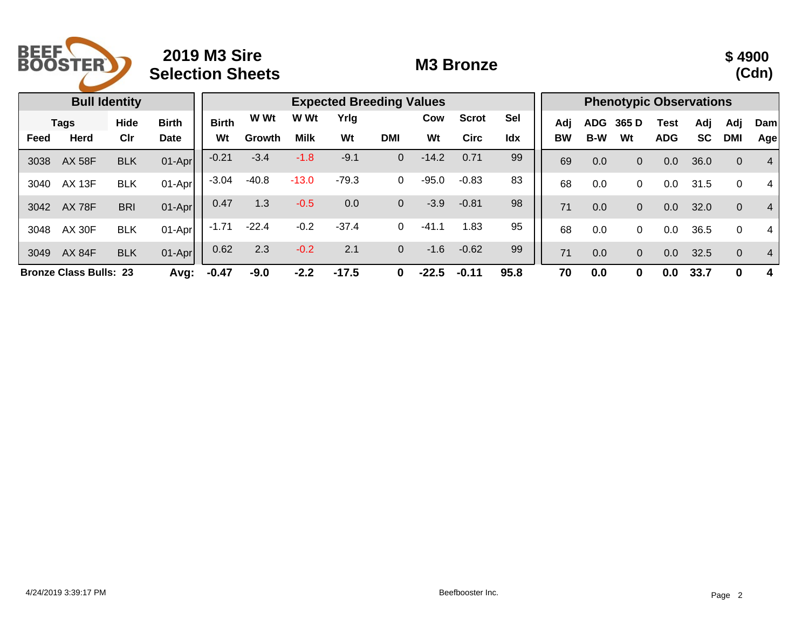

## **2019 M3 Sire Selection Sheets M3 Bronze**



|                                       |               | <b>Bull Identity</b> |              |              |         | <b>Phenotypic Observations</b> |         |                |         |              |            |     |            |                |            |           |                |                |
|---------------------------------------|---------------|----------------------|--------------|--------------|---------|--------------------------------|---------|----------------|---------|--------------|------------|-----|------------|----------------|------------|-----------|----------------|----------------|
| <b>Tags</b>                           |               | Hide                 | <b>Birth</b> | <b>Birth</b> | W Wt    | W Wt                           | Yrig    |                | Cow     | <b>Scrot</b> | <b>Sel</b> | Adj | <b>ADG</b> | 365 D          | Test       | Adj       | Adj            | Dam            |
| Feed                                  | <b>Herd</b>   | Clr                  | Date         | Wt           | Growth  | <b>Milk</b>                    | Wt      | DMI            | Wt      | <b>Circ</b>  | Idx        | ΒW  | <b>B-W</b> | Wt             | <b>ADG</b> | <b>SC</b> | <b>DMI</b>     | Age            |
| 3038                                  | <b>AX 58F</b> | <b>BLK</b>           | $01-Apr$     | $-0.21$      | $-3.4$  | $-1.8$                         | $-9.1$  | $\Omega$       | $-14.2$ | 0.71         | 99         | 69  | 0.0        | 0              | 0.0        | 36.0      | $\overline{0}$ | 4              |
| 3040                                  | <b>AX 13F</b> | <b>BLK</b>           | $01-Apr$     | $-3.04$      | $-40.8$ | $-13.0$                        | $-79.3$ | 0              | $-95.0$ | $-0.83$      | 83         | 68  | 0.0        | 0              | 0.0        | 31.5      | $\mathbf 0$    | 4              |
| 3042                                  | <b>AX 78F</b> | <b>BRI</b>           | $01-Apr$     | 0.47         | 1.3     | $-0.5$                         | 0.0     | $\overline{0}$ | $-3.9$  | $-0.81$      | 98         | 71  | 0.0        | 0              | 0.0        | 32.0      | $\overline{0}$ | $\overline{4}$ |
| 3048                                  | <b>AX 30F</b> | <b>BLK</b>           | $01-Apr$     | $-1.71$      | $-22.4$ | $-0.2$                         | $-37.4$ | 0              | $-41.1$ | 1.83         | 95         | 68  | 0.0        | 0              | $0.0\,$    | 36.5      | $\mathbf 0$    | 4              |
| 3049                                  | <b>AX 84F</b> | <b>BLK</b>           | $01-Apr$     | 0.62         | 2.3     | $-0.2$                         | 2.1     | $\overline{0}$ | $-1.6$  | $-0.62$      | 99         | 71  | 0.0        | $\overline{0}$ | 0.0        | 32.5      | $\overline{0}$ | $\overline{4}$ |
| <b>Bronze Class Bulls: 23</b><br>Avg: |               |                      | $-0.47$      | $-9.0$       | $-2.2$  | $-17.5$                        | 0       | $-22.5$        | $-0.11$ | 95.8         | 70         | 0.0 | 0          | 0.0            | 33.7       | 0         | 4              |                |